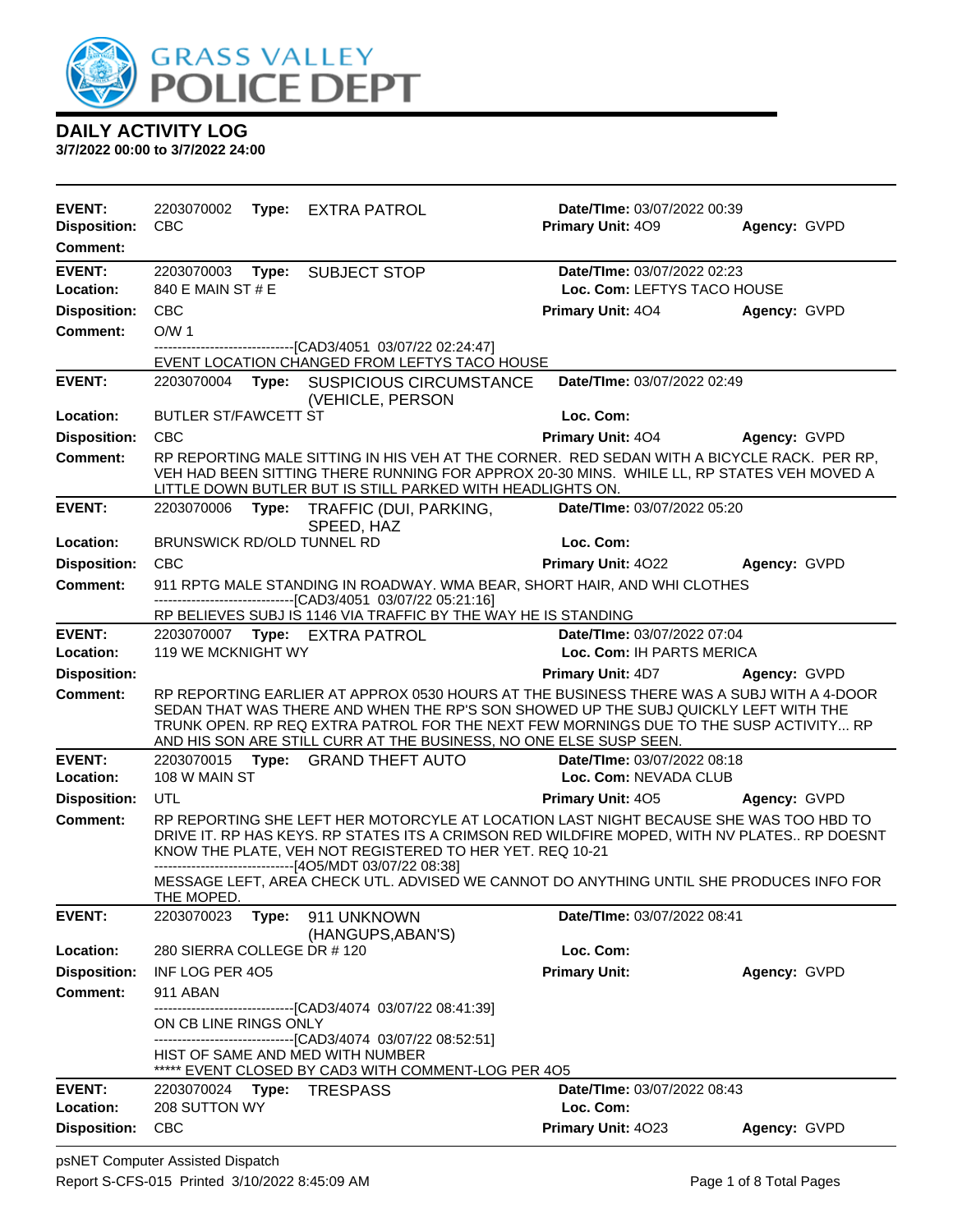

| <b>EVENT:</b>                          | 2203070002                                                 | Type: EXTRA PATROL                                                                                                                                                                                                                                    | Date/TIme: 03/07/2022 00:39                              |              |
|----------------------------------------|------------------------------------------------------------|-------------------------------------------------------------------------------------------------------------------------------------------------------------------------------------------------------------------------------------------------------|----------------------------------------------------------|--------------|
| <b>Disposition:</b><br><b>Comment:</b> | <b>CBC</b>                                                 |                                                                                                                                                                                                                                                       | <b>Primary Unit: 409</b>                                 | Agency: GVPD |
| <b>EVENT:</b>                          |                                                            |                                                                                                                                                                                                                                                       | Date/TIme: 03/07/2022 02:23                              |              |
| Location:                              | 2203070003<br>840 E MAIN ST # E                            | Type: SUBJECT STOP                                                                                                                                                                                                                                    | Loc. Com: LEFTYS TACO HOUSE                              |              |
| <b>Disposition:</b>                    | <b>CBC</b>                                                 |                                                                                                                                                                                                                                                       | <b>Primary Unit: 404</b>                                 | Agency: GVPD |
| <b>Comment:</b>                        | O/W <sub>1</sub>                                           |                                                                                                                                                                                                                                                       |                                                          |              |
|                                        |                                                            | ----------------------[CAD3/4051_03/07/22 02:24:47]                                                                                                                                                                                                   |                                                          |              |
|                                        |                                                            | EVENT LOCATION CHANGED FROM LEFTYS TACO HOUSE                                                                                                                                                                                                         |                                                          |              |
| <b>EVENT:</b>                          | 2203070004                                                 | Type: SUSPICIOUS CIRCUMSTANCE<br>(VEHICLE, PERSON                                                                                                                                                                                                     | Date/TIme: 03/07/2022 02:49                              |              |
| Location:                              | <b>BUTLER ST/FAWCETT ST</b>                                |                                                                                                                                                                                                                                                       | Loc. Com:                                                |              |
| <b>Disposition:</b>                    | <b>CBC</b>                                                 |                                                                                                                                                                                                                                                       | <b>Primary Unit: 404</b>                                 | Agency: GVPD |
| <b>Comment:</b>                        |                                                            | RP REPORTING MALE SITTING IN HIS VEH AT THE CORNER. RED SEDAN WITH A BICYCLE RACK. PER RP,<br>VEH HAD BEEN SITTING THERE RUNNING FOR APPROX 20-30 MINS. WHILE LL, RP STATES VEH MOVED A<br>LITTLE DOWN BUTLER BUT IS STILL PARKED WITH HEADLIGHTS ON. |                                                          |              |
| <b>EVENT:</b>                          |                                                            | 2203070006 Type: TRAFFIC (DUI, PARKING,<br>SPEED, HAZ                                                                                                                                                                                                 | Date/TIme: 03/07/2022 05:20                              |              |
| Location:                              | <b>BRUNSWICK RD/OLD TUNNEL RD</b>                          |                                                                                                                                                                                                                                                       | Loc. Com:                                                |              |
| <b>Disposition:</b>                    | <b>CBC</b>                                                 |                                                                                                                                                                                                                                                       | <b>Primary Unit: 4022</b>                                | Agency: GVPD |
| <b>Comment:</b>                        |                                                            | 911 RPTG MALE STANDING IN ROADWAY. WMA BEAR, SHORT HAIR, AND WHI CLOTHES<br>--------------------------------[CAD3/4051 03/07/22 05:21:16]                                                                                                             |                                                          |              |
| <b>EVENT:</b>                          |                                                            | RP BELIEVES SUBJ IS 1146 VIA TRAFFIC BY THE WAY HE IS STANDING                                                                                                                                                                                        |                                                          |              |
| Location:                              | 2203070007 Type: EXTRA PATROL<br><b>119 WE MCKNIGHT WY</b> |                                                                                                                                                                                                                                                       | Date/TIme: 03/07/2022 07:04<br>Loc. Com: IH PARTS MERICA |              |
| <b>Disposition:</b>                    |                                                            |                                                                                                                                                                                                                                                       | <b>Primary Unit: 4D7 Agency: GVPD</b>                    |              |
|                                        |                                                            | RP REPORTING EARLIER AT APPROX 0530 HOURS AT THE BUSINESS THERE WAS A SUBJ WITH A 4-DOOR                                                                                                                                                              |                                                          |              |
| <b>Comment:</b>                        |                                                            | SEDAN THAT WAS THERE AND WHEN THE RP'S SON SHOWED UP THE SUBJ QUICKLY LEFT WITH THE                                                                                                                                                                   |                                                          |              |
|                                        |                                                            | TRUNK OPEN. RP REQ EXTRA PATROL FOR THE NEXT FEW MORNINGS DUE TO THE SUSP ACTIVITY RP<br>AND HIS SON ARE STILL CURR AT THE BUSINESS, NO ONE ELSE SUSP SEEN.                                                                                           |                                                          |              |
| <b>EVENT:</b>                          |                                                            | 2203070015 Type: GRAND THEFT AUTO                                                                                                                                                                                                                     | Date/TIme: 03/07/2022 08:18                              |              |
| Location:                              | 108 W MAIN ST                                              |                                                                                                                                                                                                                                                       | Loc. Com: NEVADA CLUB                                    |              |
| <b>Disposition:</b>                    | UTL                                                        |                                                                                                                                                                                                                                                       | Primary Unit: 405                                        | Agency: GVPD |
| <b>Comment:</b>                        |                                                            | RP REPORTING SHE LEFT HER MOTORCYLE AT LOCATION LAST NIGHT BECAUSE SHE WAS TOO HBD TO<br>DRIVE IT. RP HAS KEYS. RP STATES ITS A CRIMSON RED WILDFIRE MOPED, WITH NV PLATES RP DOESNT<br>KNOW THE PLATE, VEH NOT REGISTERED TO HER YET. REQ 10-21      |                                                          |              |
|                                        | THE MOPED.                                                 | -------------------------------[4O5/MDT 03/07/22 08:38]<br>MESSAGE LEFT, AREA CHECK UTL. ADVISED WE CANNOT DO ANYTHING UNTIL SHE PRODUCES INFO FOR                                                                                                    |                                                          |              |
| <b>EVENT:</b>                          | 2203070023<br>Type:                                        | 911 UNKNOWN                                                                                                                                                                                                                                           | Date/TIme: 03/07/2022 08:41                              |              |
| Location:                              | 280 SIERRA COLLEGE DR # 120                                | (HANGUPS, ABAN'S)                                                                                                                                                                                                                                     | Loc. Com:                                                |              |
| <b>Disposition:</b>                    | INF LOG PER 405                                            |                                                                                                                                                                                                                                                       | <b>Primary Unit:</b>                                     | Agency: GVPD |
| <b>Comment:</b>                        | 911 ABAN                                                   |                                                                                                                                                                                                                                                       |                                                          |              |
|                                        | ON CB LINE RINGS ONLY                                      | --------------------[CAD3/4074_03/07/22_08:41:39]                                                                                                                                                                                                     |                                                          |              |
|                                        | HIST OF SAME AND MED WITH NUMBER                           | ---------------------------------[CAD3/4074 03/07/22 08:52:51]<br>***** EVENT CLOSED BY CAD3 WITH COMMENT-LOG PER 4O5                                                                                                                                 |                                                          |              |
| <b>EVENT:</b>                          | 2203070024 Type: TRESPASS                                  |                                                                                                                                                                                                                                                       | Date/TIme: 03/07/2022 08:43                              |              |
| Location:                              | 208 SUTTON WY                                              |                                                                                                                                                                                                                                                       | Loc. Com:                                                |              |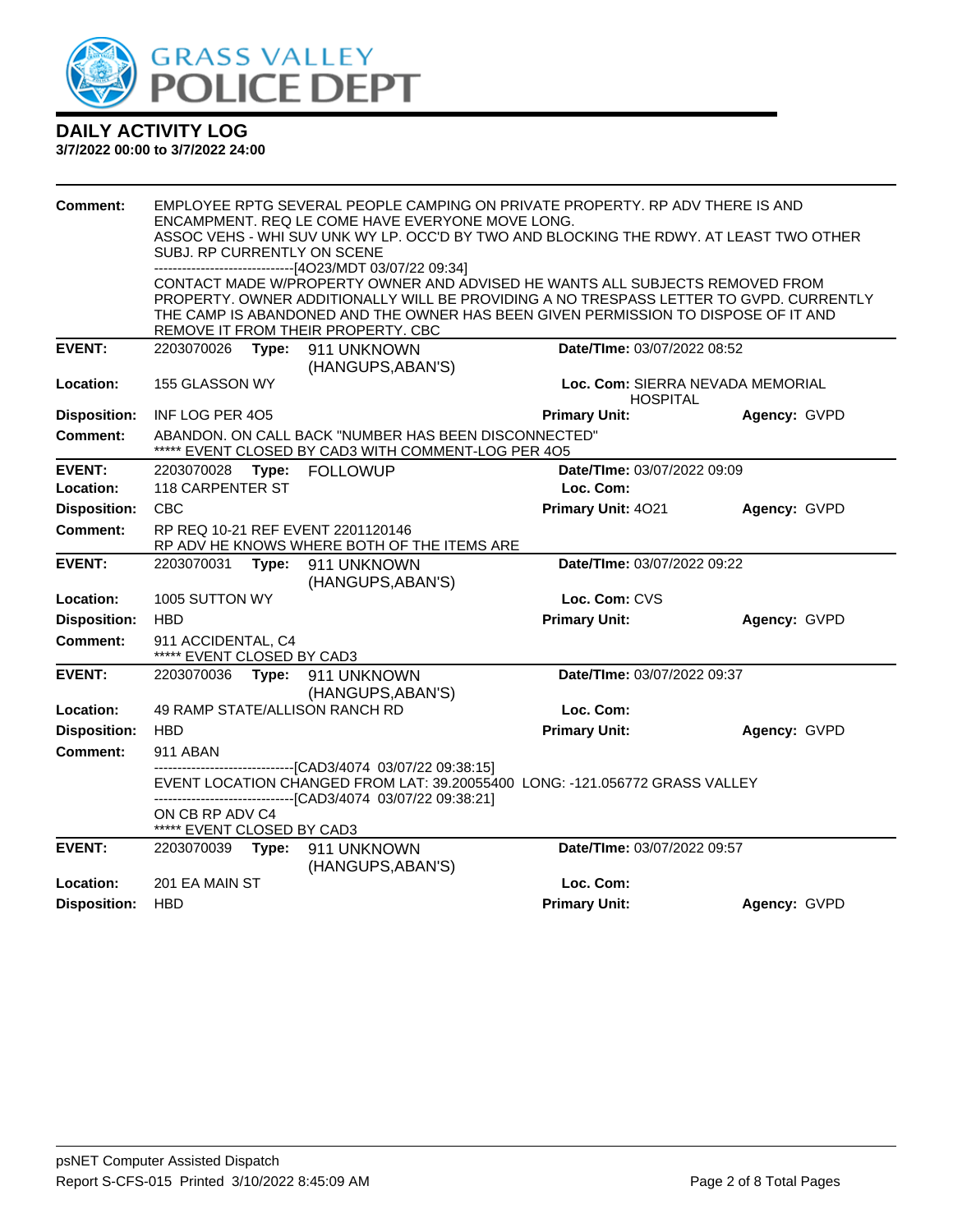

| Comment:            | SUBJ. RP CURRENTLY ON SCENE                      |       | ENCAMPMENT, REQ LE COME HAVE EVERYONE MOVE LONG.<br>------------------------------[4O23/MDT 03/07/22 09:34]                   | EMPLOYEE RPTG SEVERAL PEOPLE CAMPING ON PRIVATE PROPERTY. RP ADV THERE IS AND<br>ASSOC VEHS - WHI SUV UNK WY LP. OCC'D BY TWO AND BLOCKING THE RDWY. AT LEAST TWO OTHER      |              |
|---------------------|--------------------------------------------------|-------|-------------------------------------------------------------------------------------------------------------------------------|------------------------------------------------------------------------------------------------------------------------------------------------------------------------------|--------------|
|                     |                                                  |       |                                                                                                                               | CONTACT MADE W/PROPERTY OWNER AND ADVISED HE WANTS ALL SUBJECTS REMOVED FROM                                                                                                 |              |
|                     |                                                  |       |                                                                                                                               | PROPERTY. OWNER ADDITIONALLY WILL BE PROVIDING A NO TRESPASS LETTER TO GVPD. CURRENTLY<br>THE CAMP IS ABANDONED AND THE OWNER HAS BEEN GIVEN PERMISSION TO DISPOSE OF IT AND |              |
|                     |                                                  |       | REMOVE IT FROM THEIR PROPERTY. CBC                                                                                            |                                                                                                                                                                              |              |
| <b>EVENT:</b>       | 2203070026                                       |       | Type: 911 UNKNOWN                                                                                                             | Date/TIme: 03/07/2022 08:52                                                                                                                                                  |              |
| Location:           | 155 GLASSON WY                                   |       | (HANGUPS, ABAN'S)                                                                                                             | Loc. Com: SIERRA NEVADA MEMORIAL<br><b>HOSPITAL</b>                                                                                                                          |              |
| <b>Disposition:</b> | INF LOG PER 405                                  |       |                                                                                                                               | <b>Primary Unit:</b>                                                                                                                                                         | Agency: GVPD |
| Comment:            |                                                  |       | ABANDON, ON CALL BACK "NUMBER HAS BEEN DISCONNECTED"<br>EVENT CLOSED BY CAD3 WITH COMMENT-LOG PER 4O5                         |                                                                                                                                                                              |              |
| <b>EVENT:</b>       | 2203070028                                       | Type: | <b>FOLLOWUP</b>                                                                                                               | Date/TIme: 03/07/2022 09:09                                                                                                                                                  |              |
| Location:           | 118 CARPENTER ST                                 |       |                                                                                                                               | Loc. Com:                                                                                                                                                                    |              |
| <b>Disposition:</b> | <b>CBC</b>                                       |       |                                                                                                                               | Primary Unit: 4021                                                                                                                                                           | Agency: GVPD |
| <b>Comment:</b>     |                                                  |       | RP REQ 10-21 REF EVENT 2201120146<br>RP ADV HE KNOWS WHERE BOTH OF THE ITEMS ARE                                              |                                                                                                                                                                              |              |
| <b>EVENT:</b>       | 2203070031                                       | Type: | 911 UNKNOWN<br>(HANGUPS, ABAN'S)                                                                                              | Date/TIme: 03/07/2022 09:22                                                                                                                                                  |              |
| Location:           | 1005 SUTTON WY                                   |       |                                                                                                                               | Loc. Com: CVS                                                                                                                                                                |              |
| <b>Disposition:</b> | <b>HBD</b>                                       |       |                                                                                                                               | <b>Primary Unit:</b>                                                                                                                                                         | Agency: GVPD |
| Comment:            | 911 ACCIDENTAL, C4<br>***** EVENT CLOSED BY CAD3 |       |                                                                                                                               |                                                                                                                                                                              |              |
| <b>EVENT:</b>       | 2203070036                                       |       | Type: 911 UNKNOWN<br>(HANGUPS, ABAN'S)                                                                                        | Date/TIme: 03/07/2022 09:37                                                                                                                                                  |              |
| Location:           |                                                  |       | 49 RAMP STATE/ALLISON RANCH RD                                                                                                | Loc. Com:                                                                                                                                                                    |              |
| <b>Disposition:</b> | <b>HBD</b>                                       |       |                                                                                                                               | <b>Primary Unit:</b>                                                                                                                                                         | Agency: GVPD |
| <b>Comment:</b>     | 911 ABAN                                         |       |                                                                                                                               |                                                                                                                                                                              |              |
|                     |                                                  |       | -------------------------------[CAD3/4074 03/07/22 09:38:15]<br>--------------------------------[CAD3/4074_03/07/22_09:38:21] | EVENT LOCATION CHANGED FROM LAT: 39.20055400 LONG: -121.056772 GRASS VALLEY                                                                                                  |              |
|                     | ON CB RP ADV C4<br>***** EVENT CLOSED BY CAD3    |       |                                                                                                                               |                                                                                                                                                                              |              |
| <b>EVENT:</b>       | 2203070039                                       |       | Type: 911 UNKNOWN<br>(HANGUPS, ABAN'S)                                                                                        | Date/TIme: 03/07/2022 09:57                                                                                                                                                  |              |
| Location:           | 201 EA MAIN ST                                   |       |                                                                                                                               | Loc. Com:                                                                                                                                                                    |              |
| <b>Disposition:</b> | <b>HBD</b>                                       |       |                                                                                                                               | <b>Primary Unit:</b>                                                                                                                                                         | Agency: GVPD |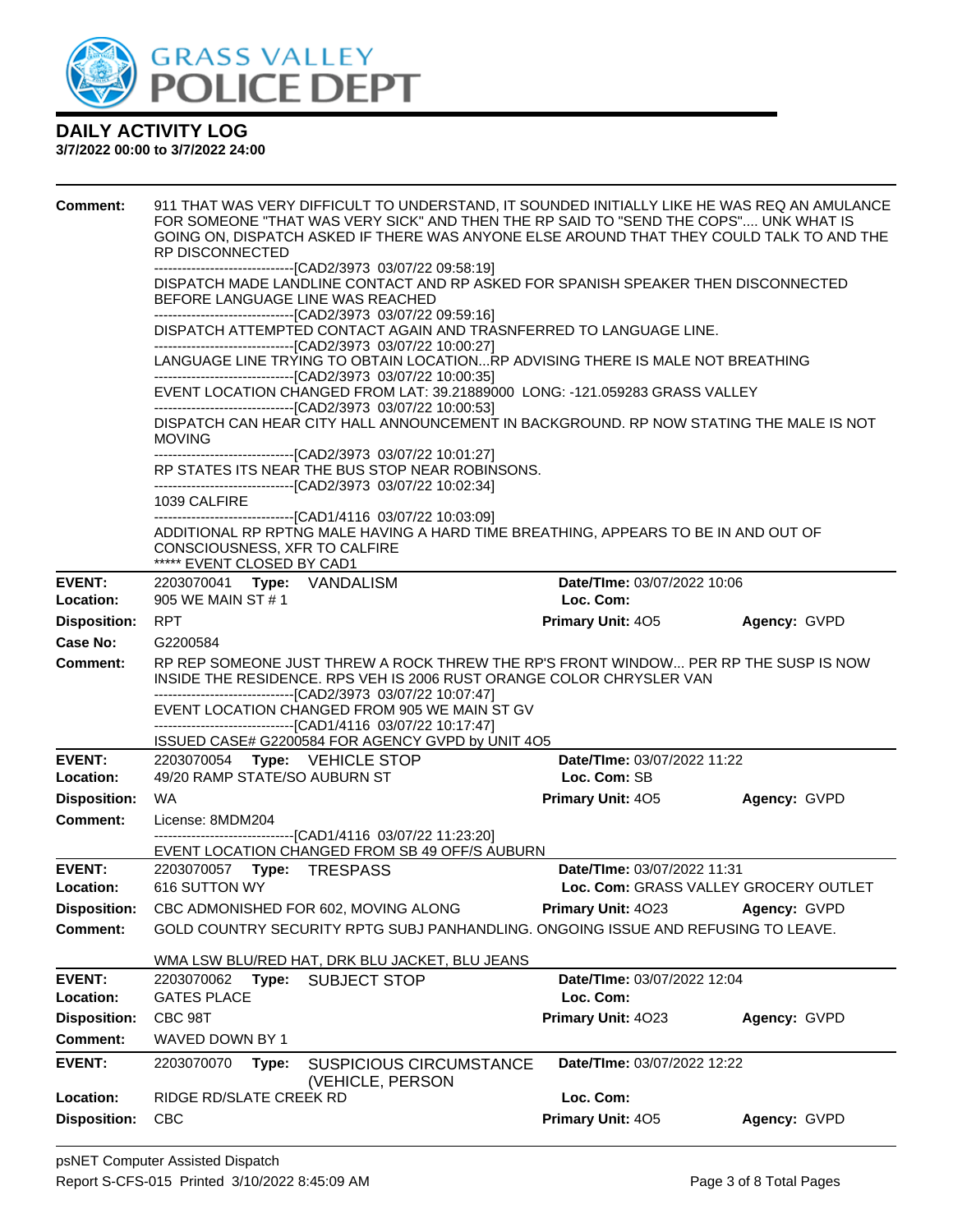

| <b>Comment:</b>                  | 911 THAT WAS VERY DIFFICULT TO UNDERSTAND, IT SOUNDED INITIALLY LIKE HE WAS REQ AN AMULANCE<br>FOR SOMEONE "THAT WAS VERY SICK" AND THEN THE RP SAID TO "SEND THE COPS" UNK WHAT IS<br>GOING ON, DISPATCH ASKED IF THERE WAS ANYONE ELSE AROUND THAT THEY COULD TALK TO AND THE<br><b>RP DISCONNECTED</b> |                                                                      |              |
|----------------------------------|-----------------------------------------------------------------------------------------------------------------------------------------------------------------------------------------------------------------------------------------------------------------------------------------------------------|----------------------------------------------------------------------|--------------|
|                                  | ---------------------------------[CAD2/3973 03/07/22 09:58:19]<br>DISPATCH MADE LANDLINE CONTACT AND RP ASKED FOR SPANISH SPEAKER THEN DISCONNECTED<br>BEFORE LANGUAGE LINE WAS REACHED                                                                                                                   |                                                                      |              |
|                                  | --------------------------------[CAD2/3973 03/07/22 09:59:16]<br>DISPATCH ATTEMPTED CONTACT AGAIN AND TRASNFERRED TO LANGUAGE LINE.<br>-------------------------------[CAD2/3973 03/07/22 10:00:27]                                                                                                       |                                                                      |              |
|                                  | LANGUAGE LINE TRYING TO OBTAIN LOCATIONRP ADVISING THERE IS MALE NOT BREATHING<br>--------------------------------[CAD2/3973 03/07/22 10:00:35]                                                                                                                                                           |                                                                      |              |
|                                  | EVENT LOCATION CHANGED FROM LAT: 39.21889000 LONG: -121.059283 GRASS VALLEY                                                                                                                                                                                                                               |                                                                      |              |
|                                  | DISPATCH CAN HEAR CITY HALL ANNOUNCEMENT IN BACKGROUND. RP NOW STATING THE MALE IS NOT<br><b>MOVING</b>                                                                                                                                                                                                   |                                                                      |              |
|                                  | -------------------------------[CAD2/3973 03/07/22 10:01:27]<br>RP STATES ITS NEAR THE BUS STOP NEAR ROBINSONS.<br>-------------------------------[CAD2/3973 03/07/22 10:02:34]                                                                                                                           |                                                                      |              |
|                                  | 1039 CALFIRE<br>-------------------------------[CAD1/4116 03/07/22 10:03:09]                                                                                                                                                                                                                              |                                                                      |              |
|                                  | ADDITIONAL RP RPTNG MALE HAVING A HARD TIME BREATHING, APPEARS TO BE IN AND OUT OF<br>CONSCIOUSNESS, XFR TO CALFIRE<br>***** EVENT CLOSED BY CAD1                                                                                                                                                         |                                                                      |              |
| <b>EVENT:</b>                    | 2203070041 Type: VANDALISM                                                                                                                                                                                                                                                                                | Date/TIme: 03/07/2022 10:06                                          |              |
| Location:<br><b>Disposition:</b> | 905 WE MAIN ST # 1<br><b>RPT</b>                                                                                                                                                                                                                                                                          | Loc. Com:<br><b>Primary Unit: 405</b>                                | Agency: GVPD |
| Case No:                         | G2200584                                                                                                                                                                                                                                                                                                  |                                                                      |              |
| <b>Comment:</b>                  | RP REP SOMEONE JUST THREW A ROCK THREW THE RP'S FRONT WINDOW PER RP THE SUSP IS NOW<br>INSIDE THE RESIDENCE. RPS VEH IS 2006 RUST ORANGE COLOR CHRYSLER VAN<br>-------------------------------[CAD2/3973 03/07/22 10:07:47]<br>EVENT LOCATION CHANGED FROM 905 WE MAIN ST GV                              |                                                                      |              |
|                                  | -------------------------------[CAD1/4116 03/07/22 10:17:47]<br>ISSUED CASE# G2200584 FOR AGENCY GVPD by UNIT 4O5                                                                                                                                                                                         |                                                                      |              |
| <b>EVENT:</b>                    | 2203070054 Type: VEHICLE STOP                                                                                                                                                                                                                                                                             | Date/TIme: 03/07/2022 11:22                                          |              |
| Location:                        | 49/20 RAMP STATE/SO AUBURN ST                                                                                                                                                                                                                                                                             | Loc. Com: SB                                                         |              |
| <b>Disposition:</b>              | <b>WA</b>                                                                                                                                                                                                                                                                                                 | <b>Primary Unit: 405</b>                                             | Agency: GVPD |
| <b>Comment:</b>                  | License: 8MDM204<br>-------------------------------[CAD1/4116 03/07/22 11:23:20]                                                                                                                                                                                                                          |                                                                      |              |
|                                  | EVENT LOCATION CHANGED FROM SB 49 OFF/S AUBURN                                                                                                                                                                                                                                                            |                                                                      |              |
| <b>EVENT:</b><br>Location:       | 2203070057    Type: TRESPASS<br>616 SUTTON WY                                                                                                                                                                                                                                                             | Date/TIme: 03/07/2022 11:31<br>Loc. Com: GRASS VALLEY GROCERY OUTLET |              |
| <b>Disposition:</b>              | CBC ADMONISHED FOR 602, MOVING ALONG                                                                                                                                                                                                                                                                      | Primary Unit: 4023                                                   | Agency: GVPD |
| <b>Comment:</b>                  | GOLD COUNTRY SECURITY RPTG SUBJ PANHANDLING. ONGOING ISSUE AND REFUSING TO LEAVE.                                                                                                                                                                                                                         |                                                                      |              |
|                                  | WMA LSW BLU/RED HAT, DRK BLU JACKET, BLU JEANS                                                                                                                                                                                                                                                            |                                                                      |              |
| <b>EVENT:</b>                    | 2203070062<br>Type:<br><b>SUBJECT STOP</b>                                                                                                                                                                                                                                                                | Date/TIme: 03/07/2022 12:04                                          |              |
| Location:                        | <b>GATES PLACE</b>                                                                                                                                                                                                                                                                                        | Loc. Com:                                                            |              |
| <b>Disposition:</b>              | CBC 98T                                                                                                                                                                                                                                                                                                   | Primary Unit: 4023                                                   | Agency: GVPD |
| <b>Comment:</b>                  | WAVED DOWN BY 1                                                                                                                                                                                                                                                                                           |                                                                      |              |
| <b>EVENT:</b>                    | 2203070070<br>Type:<br><b>SUSPICIOUS CIRCUMSTANCE</b><br>(VEHICLE, PERSON                                                                                                                                                                                                                                 | Date/TIme: 03/07/2022 12:22                                          |              |
| Location:                        | RIDGE RD/SLATE CREEK RD                                                                                                                                                                                                                                                                                   | Loc. Com:                                                            |              |
| <b>Disposition:</b>              | CBC                                                                                                                                                                                                                                                                                                       | Primary Unit: 405                                                    | Agency: GVPD |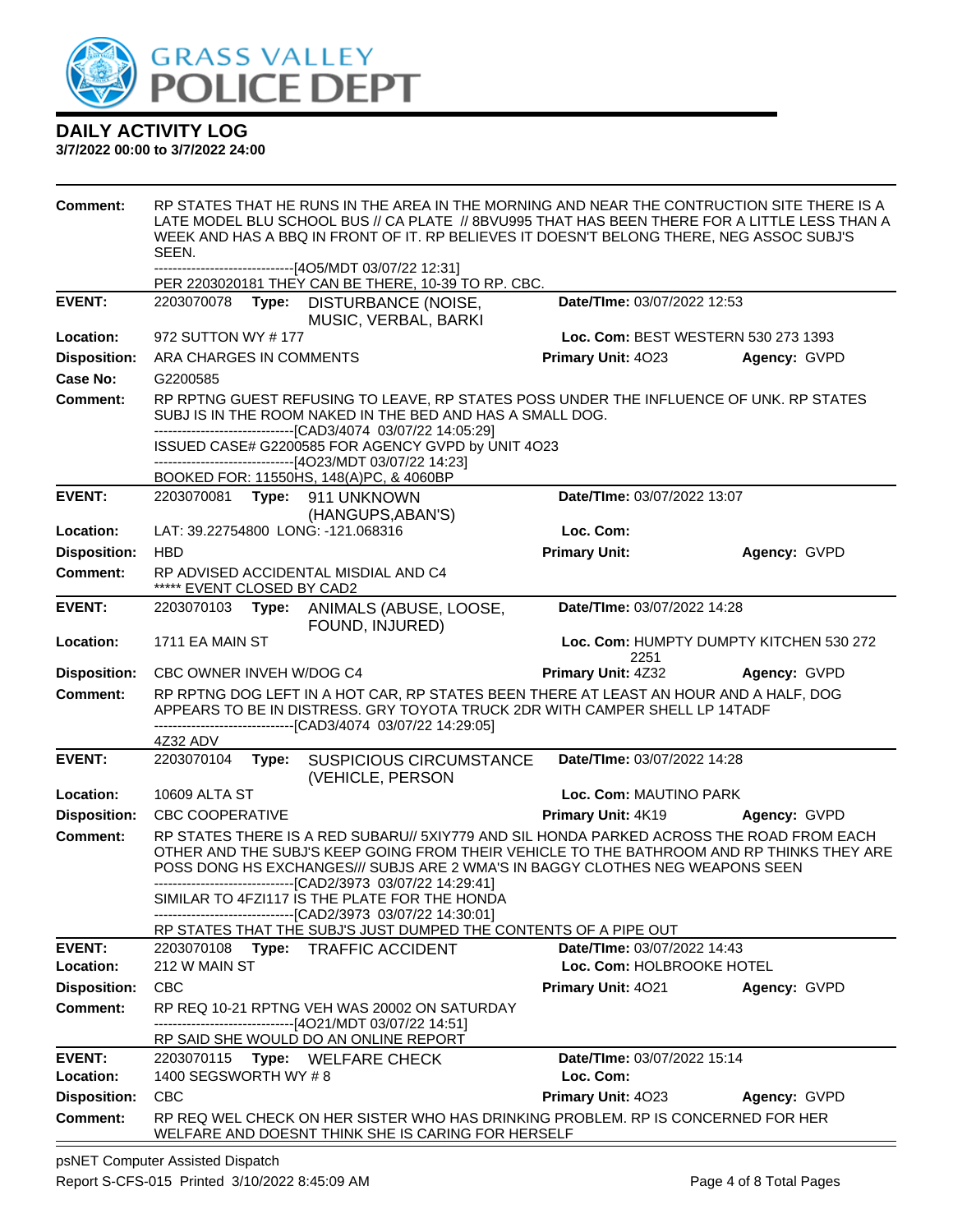

### **3/7/2022 00:00 to 3/7/2022 24:00**

| Comment:            | SEEN.                      |       | WEEK AND HAS A BBQ IN FRONT OF IT. RP BELIEVES IT DOESN'T BELONG THERE, NEG ASSOC SUBJ'S<br>------------------------------[4O5/MDT 03/07/22 12:31]                                                                                   |                             | RP STATES THAT HE RUNS IN THE AREA IN THE MORNING AND NEAR THE CONTRUCTION SITE THERE IS A<br>LATE MODEL BLU SCHOOL BUS // CA PLATE // 8BVU995 THAT HAS BEEN THERE FOR A LITTLE LESS THAN A |
|---------------------|----------------------------|-------|--------------------------------------------------------------------------------------------------------------------------------------------------------------------------------------------------------------------------------------|-----------------------------|---------------------------------------------------------------------------------------------------------------------------------------------------------------------------------------------|
|                     |                            |       | PER 2203020181 THEY CAN BE THERE, 10-39 TO RP. CBC.                                                                                                                                                                                  |                             |                                                                                                                                                                                             |
| <b>EVENT:</b>       |                            |       | 2203070078 Type: DISTURBANCE (NOISE,<br>MUSIC, VERBAL, BARKI                                                                                                                                                                         | Date/TIme: 03/07/2022 12:53 |                                                                                                                                                                                             |
| Location:           | 972 SUTTON WY #177         |       |                                                                                                                                                                                                                                      |                             | Loc. Com: BEST WESTERN 530 273 1393                                                                                                                                                         |
| <b>Disposition:</b> | ARA CHARGES IN COMMENTS    |       |                                                                                                                                                                                                                                      | Primary Unit: 4023          | Agency: GVPD                                                                                                                                                                                |
| Case No:            | G2200585                   |       |                                                                                                                                                                                                                                      |                             |                                                                                                                                                                                             |
| <b>Comment:</b>     |                            |       | RP RPTNG GUEST REFUSING TO LEAVE, RP STATES POSS UNDER THE INFLUENCE OF UNK. RP STATES<br>SUBJ IS IN THE ROOM NAKED IN THE BED AND HAS A SMALL DOG.<br>-------------------------------[CAD3/4074 03/07/22 14:05:29]                  |                             |                                                                                                                                                                                             |
|                     |                            |       | ISSUED CASE# G2200585 FOR AGENCY GVPD by UNIT 4O23                                                                                                                                                                                   |                             |                                                                                                                                                                                             |
|                     |                            |       | ------------------------------[4O23/MDT 03/07/22 14:23]                                                                                                                                                                              |                             |                                                                                                                                                                                             |
| <b>EVENT:</b>       |                            |       | BOOKED FOR: 11550HS, 148(A)PC, & 4060BP<br>2203070081 Type: 911 UNKNOWN                                                                                                                                                              | Date/TIme: 03/07/2022 13:07 |                                                                                                                                                                                             |
|                     |                            |       | (HANGUPS, ABAN'S)                                                                                                                                                                                                                    |                             |                                                                                                                                                                                             |
| Location:           |                            |       | LAT: 39.22754800 LONG: -121.068316                                                                                                                                                                                                   | Loc. Com:                   |                                                                                                                                                                                             |
| <b>Disposition:</b> | <b>HBD</b>                 |       |                                                                                                                                                                                                                                      | <b>Primary Unit:</b>        | Agency: GVPD                                                                                                                                                                                |
| <b>Comment:</b>     | ***** EVENT CLOSED BY CAD2 |       | RP ADVISED ACCIDENTAL MISDIAL AND C4                                                                                                                                                                                                 |                             |                                                                                                                                                                                             |
| <b>EVENT:</b>       | 2203070103                 |       | Type: ANIMALS (ABUSE, LOOSE,<br>FOUND, INJURED)                                                                                                                                                                                      | Date/TIme: 03/07/2022 14:28 |                                                                                                                                                                                             |
| Location:           | 1711 EA MAIN ST            |       |                                                                                                                                                                                                                                      | 2251                        | Loc. Com: HUMPTY DUMPTY KITCHEN 530 272                                                                                                                                                     |
| <b>Disposition:</b> | CBC OWNER INVEH W/DOG C4   |       |                                                                                                                                                                                                                                      | <b>Primary Unit: 4Z32</b>   | Agency: GVPD                                                                                                                                                                                |
| <b>Comment:</b>     |                            |       | RP RPTNG DOG LEFT IN A HOT CAR, RP STATES BEEN THERE AT LEAST AN HOUR AND A HALF, DOG<br>APPEARS TO BE IN DISTRESS. GRY TOYOTA TRUCK 2DR WITH CAMPER SHELL LP 14TADF<br>-------------------------------[CAD3/4074 03/07/22 14:29:05] |                             |                                                                                                                                                                                             |
|                     | 4Z32 ADV                   |       |                                                                                                                                                                                                                                      |                             |                                                                                                                                                                                             |
| <b>EVENT:</b>       | 2203070104                 | Type: | SUSPICIOUS CIRCUMSTANCE<br>(VEHICLE, PERSON                                                                                                                                                                                          | Date/TIme: 03/07/2022 14:28 |                                                                                                                                                                                             |
| Location:           | 10609 ALTA ST              |       |                                                                                                                                                                                                                                      | Loc. Com: MAUTINO PARK      |                                                                                                                                                                                             |
| <b>Disposition:</b> | <b>CBC COOPERATIVE</b>     |       |                                                                                                                                                                                                                                      | Primary Unit: 4K19          | Agency: GVPD                                                                                                                                                                                |
| <b>Comment:</b>     |                            |       | POSS DONG HS EXCHANGES/// SUBJS ARE 2 WMA'S IN BAGGY CLOTHES NEG WEAPONS SEEN<br>-------------------------------[CAD2/3973_03/07/22_14:29:41]                                                                                        |                             | RP STATES THERE IS A RED SUBARU// 5XIY779 AND SIL HONDA PARKED ACROSS THE ROAD FROM EACH<br>OTHER AND THE SUBJ'S KEEP GOING FROM THEIR VEHICLE TO THE BATHROOM AND RP THINKS THEY ARE       |
|                     |                            |       | SIMILAR TO 4FZI117 IS THE PLATE FOR THE HONDA                                                                                                                                                                                        |                             |                                                                                                                                                                                             |
|                     |                            |       | -[CAD2/3973 03/07/22 14:30:01]<br>RP STATES THAT THE SUBJ'S JUST DUMPED THE CONTENTS OF A PIPE OUT                                                                                                                                   |                             |                                                                                                                                                                                             |
| <b>EVENT:</b>       | 2203070108                 |       | Type: TRAFFIC ACCIDENT                                                                                                                                                                                                               | Date/TIme: 03/07/2022 14:43 |                                                                                                                                                                                             |
| Location:           | 212 W MAIN ST              |       |                                                                                                                                                                                                                                      | Loc. Com: HOLBROOKE HOTEL   |                                                                                                                                                                                             |
| <b>Disposition:</b> | <b>CBC</b>                 |       |                                                                                                                                                                                                                                      | Primary Unit: 4021          | Agency: GVPD                                                                                                                                                                                |
| <b>Comment:</b>     |                            |       | RP REQ 10-21 RPTNG VEH WAS 20002 ON SATURDAY<br>-------------------------------[4O21/MDT 03/07/22 14:51]                                                                                                                             |                             |                                                                                                                                                                                             |
|                     |                            |       | RP SAID SHE WOULD DO AN ONLINE REPORT                                                                                                                                                                                                |                             |                                                                                                                                                                                             |
| <b>EVENT:</b>       |                            |       | 2203070115 Type: WELFARE CHECK                                                                                                                                                                                                       | Date/TIme: 03/07/2022 15:14 |                                                                                                                                                                                             |
| Location:           | 1400 SEGSWORTH WY #8       |       |                                                                                                                                                                                                                                      | Loc. Com:                   |                                                                                                                                                                                             |
| <b>Disposition:</b> | <b>CBC</b>                 |       |                                                                                                                                                                                                                                      | Primary Unit: 4023          | Agency: GVPD                                                                                                                                                                                |
| <b>Comment:</b>     |                            |       | RP REQ WEL CHECK ON HER SISTER WHO HAS DRINKING PROBLEM. RP IS CONCERNED FOR HER<br>WELFARE AND DOESNT THINK SHE IS CARING FOR HERSELF                                                                                               |                             |                                                                                                                                                                                             |

psNET Computer Assisted Dispatch Report S-CFS-015 Printed 3/10/2022 8:45:09 AM Page 4 of 8 Total Pages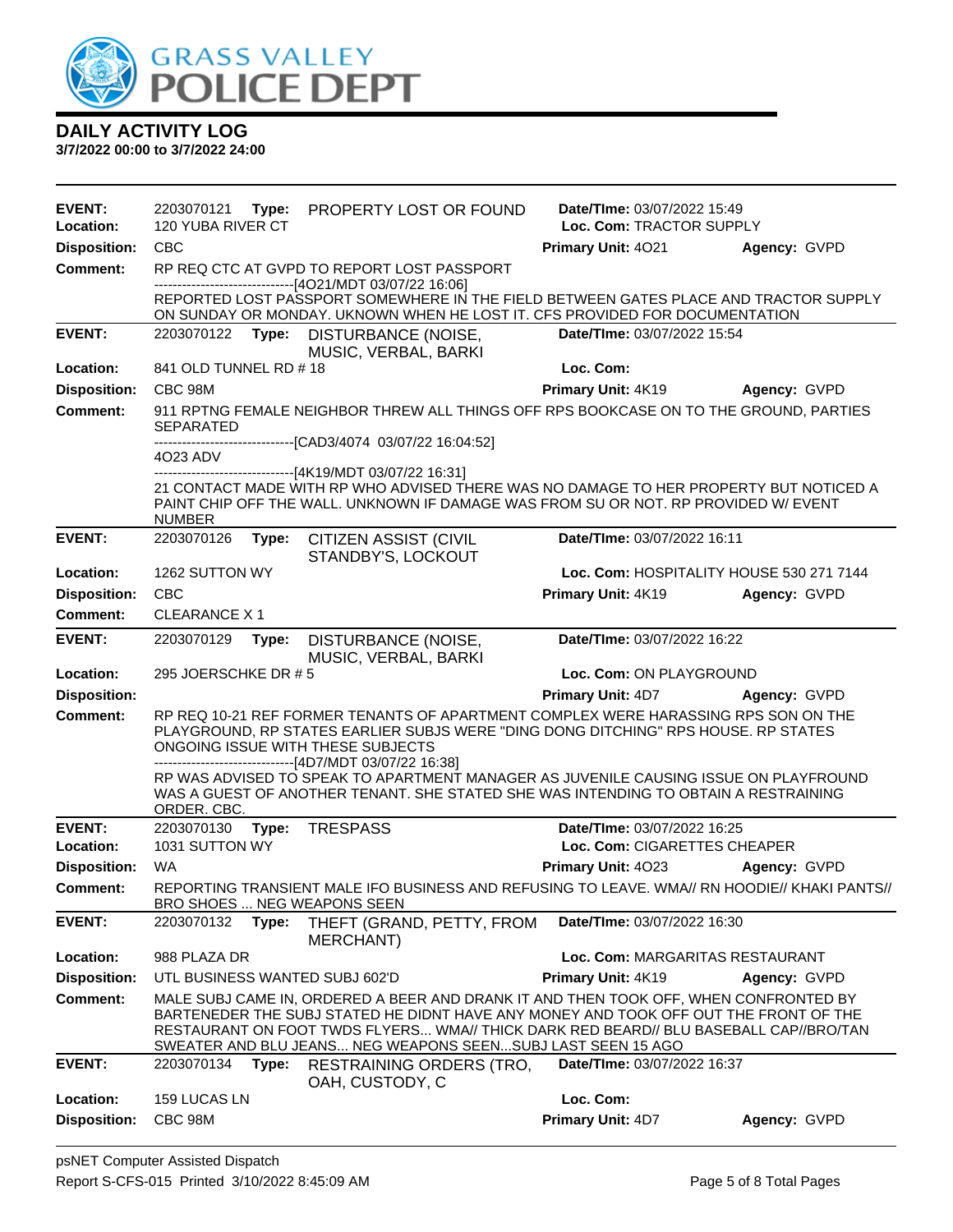

| <b>EVENT:</b><br>Location: | 120 YUBA RIVER CT     |       | 2203070121 Type: PROPERTY LOST OR FOUND                                                                                                                                                                                                                                                                                              | Date/TIme: 03/07/2022 15:49<br>Loc. Com: TRACTOR SUPPLY |              |
|----------------------------|-----------------------|-------|--------------------------------------------------------------------------------------------------------------------------------------------------------------------------------------------------------------------------------------------------------------------------------------------------------------------------------------|---------------------------------------------------------|--------------|
| <b>Disposition:</b>        | <b>CBC</b>            |       |                                                                                                                                                                                                                                                                                                                                      | Primary Unit: 4021                                      | Agency: GVPD |
| <b>Comment:</b>            |                       |       | RP REQ CTC AT GVPD TO REPORT LOST PASSPORT<br>------------------------------[4O21/MDT 03/07/22 16:06]                                                                                                                                                                                                                                |                                                         |              |
|                            |                       |       | REPORTED LOST PASSPORT SOMEWHERE IN THE FIELD BETWEEN GATES PLACE AND TRACTOR SUPPLY<br>ON SUNDAY OR MONDAY. UKNOWN WHEN HE LOST IT. CFS PROVIDED FOR DOCUMENTATION                                                                                                                                                                  |                                                         |              |
| <b>EVENT:</b>              | 2203070122 Type:      |       | DISTURBANCE (NOISE,<br>MUSIC, VERBAL, BARKI                                                                                                                                                                                                                                                                                          | Date/TIme: 03/07/2022 15:54                             |              |
| Location:                  | 841 OLD TUNNEL RD #18 |       |                                                                                                                                                                                                                                                                                                                                      | Loc. Com:                                               |              |
| <b>Disposition:</b>        | CBC 98M               |       |                                                                                                                                                                                                                                                                                                                                      | Primary Unit: 4K19                                      | Agency: GVPD |
| Comment:                   | SEPARATED             |       | 911 RPTNG FEMALE NEIGHBOR THREW ALL THINGS OFF RPS BOOKCASE ON TO THE GROUND, PARTIES                                                                                                                                                                                                                                                |                                                         |              |
|                            | 4023 ADV              |       | ------------------[CAD3/4074_03/07/22 16:04:52]                                                                                                                                                                                                                                                                                      |                                                         |              |
|                            |                       |       | ------------------------------[4K19/MDT 03/07/22 16:31]                                                                                                                                                                                                                                                                              |                                                         |              |
|                            | <b>NUMBER</b>         |       | 21 CONTACT MADE WITH RP WHO ADVISED THERE WAS NO DAMAGE TO HER PROPERTY BUT NOTICED A<br>PAINT CHIP OFF THE WALL. UNKNOWN IF DAMAGE WAS FROM SU OR NOT. RP PROVIDED W/ EVENT                                                                                                                                                         |                                                         |              |
| <b>EVENT:</b>              | 2203070126            | Type: | <b>CITIZEN ASSIST (CIVIL</b><br>STANDBY'S, LOCKOUT                                                                                                                                                                                                                                                                                   | Date/TIme: 03/07/2022 16:11                             |              |
| Location:                  | 1262 SUTTON WY        |       |                                                                                                                                                                                                                                                                                                                                      | Loc. Com: HOSPITALITY HOUSE 530 271 7144                |              |
| <b>Disposition:</b>        | <b>CBC</b>            |       |                                                                                                                                                                                                                                                                                                                                      | Primary Unit: 4K19                                      | Agency: GVPD |
| <b>Comment:</b>            | <b>CLEARANCE X1</b>   |       |                                                                                                                                                                                                                                                                                                                                      |                                                         |              |
| <b>EVENT:</b>              | 2203070129            | Type: | DISTURBANCE (NOISE,<br>MUSIC, VERBAL, BARKI                                                                                                                                                                                                                                                                                          | Date/TIme: 03/07/2022 16:22                             |              |
| Location:                  | 295 JOERSCHKE DR # 5  |       |                                                                                                                                                                                                                                                                                                                                      | Loc. Com: ON PLAYGROUND                                 |              |
| <b>Disposition:</b>        |                       |       |                                                                                                                                                                                                                                                                                                                                      | <b>Primary Unit: 4D7 Agency: GVPD</b>                   |              |
| <b>Comment:</b>            |                       |       | RP REQ 10-21 REF FORMER TENANTS OF APARTMENT COMPLEX WERE HARASSING RPS SON ON THE<br>PLAYGROUND, RP STATES EARLIER SUBJS WERE "DING DONG DITCHING" RPS HOUSE. RP STATES<br>ONGOING ISSUE WITH THESE SUBJECTS<br>------------------------------[4D7/MDT 03/07/22 16:38]                                                              |                                                         |              |
|                            | ORDER. CBC.           |       | RP WAS ADVISED TO SPEAK TO APARTMENT MANAGER AS JUVENILE CAUSING ISSUE ON PLAYFROUND<br>WAS A GUEST OF ANOTHER TENANT. SHE STATED SHE WAS INTENDING TO OBTAIN A RESTRAINING                                                                                                                                                          |                                                         |              |
| <b>EVENT:</b>              | 2203070130            |       | Type: TRESPASS                                                                                                                                                                                                                                                                                                                       | Date/TIme: 03/07/2022 16:25                             |              |
| Location:                  | 1031 SUTTON WY        |       |                                                                                                                                                                                                                                                                                                                                      | Loc. Com: CIGARETTES CHEAPER                            |              |
| <b>Disposition:</b>        | WA                    |       |                                                                                                                                                                                                                                                                                                                                      | <b>Primary Unit: 4023</b>                               | Agency: GVPD |
| Comment:                   |                       |       | REPORTING TRANSIENT MALE IFO BUSINESS AND REFUSING TO LEAVE, WMA// RN HOODIE// KHAKI PANTS//<br>BRO SHOES  NEG WEAPONS SEEN                                                                                                                                                                                                          |                                                         |              |
| <b>EVENT:</b>              | 2203070132            | Type: | THEFT (GRAND, PETTY, FROM<br><b>MERCHANT)</b>                                                                                                                                                                                                                                                                                        | Date/TIme: 03/07/2022 16:30                             |              |
| Location:                  | 988 PLAZA DR          |       |                                                                                                                                                                                                                                                                                                                                      | Loc. Com: MARGARITAS RESTAURANT                         |              |
| <b>Disposition:</b>        |                       |       | UTL BUSINESS WANTED SUBJ 602'D                                                                                                                                                                                                                                                                                                       | Primary Unit: 4K19                                      | Agency: GVPD |
| <b>Comment:</b>            |                       |       | MALE SUBJ CAME IN, ORDERED A BEER AND DRANK IT AND THEN TOOK OFF, WHEN CONFRONTED BY<br>BARTENEDER THE SUBJ STATED HE DIDNT HAVE ANY MONEY AND TOOK OFF OUT THE FRONT OF THE<br>RESTAURANT ON FOOT TWDS FLYERS WMA// THICK DARK RED BEARD// BLU BASEBALL CAP//BRO/TAN<br>SWEATER AND BLU JEANS NEG WEAPONS SEENSUBJ LAST SEEN 15 AGO |                                                         |              |
| <b>EVENT:</b>              | 2203070134            | Type: | <b>RESTRAINING ORDERS (TRO.</b><br>OAH, CUSTODY, C                                                                                                                                                                                                                                                                                   | Date/TIme: 03/07/2022 16:37                             |              |
| Location:                  | 159 LUCAS LN          |       |                                                                                                                                                                                                                                                                                                                                      | Loc. Com:                                               |              |
| <b>Disposition:</b>        | CBC 98M               |       |                                                                                                                                                                                                                                                                                                                                      | Primary Unit: 4D7                                       | Agency: GVPD |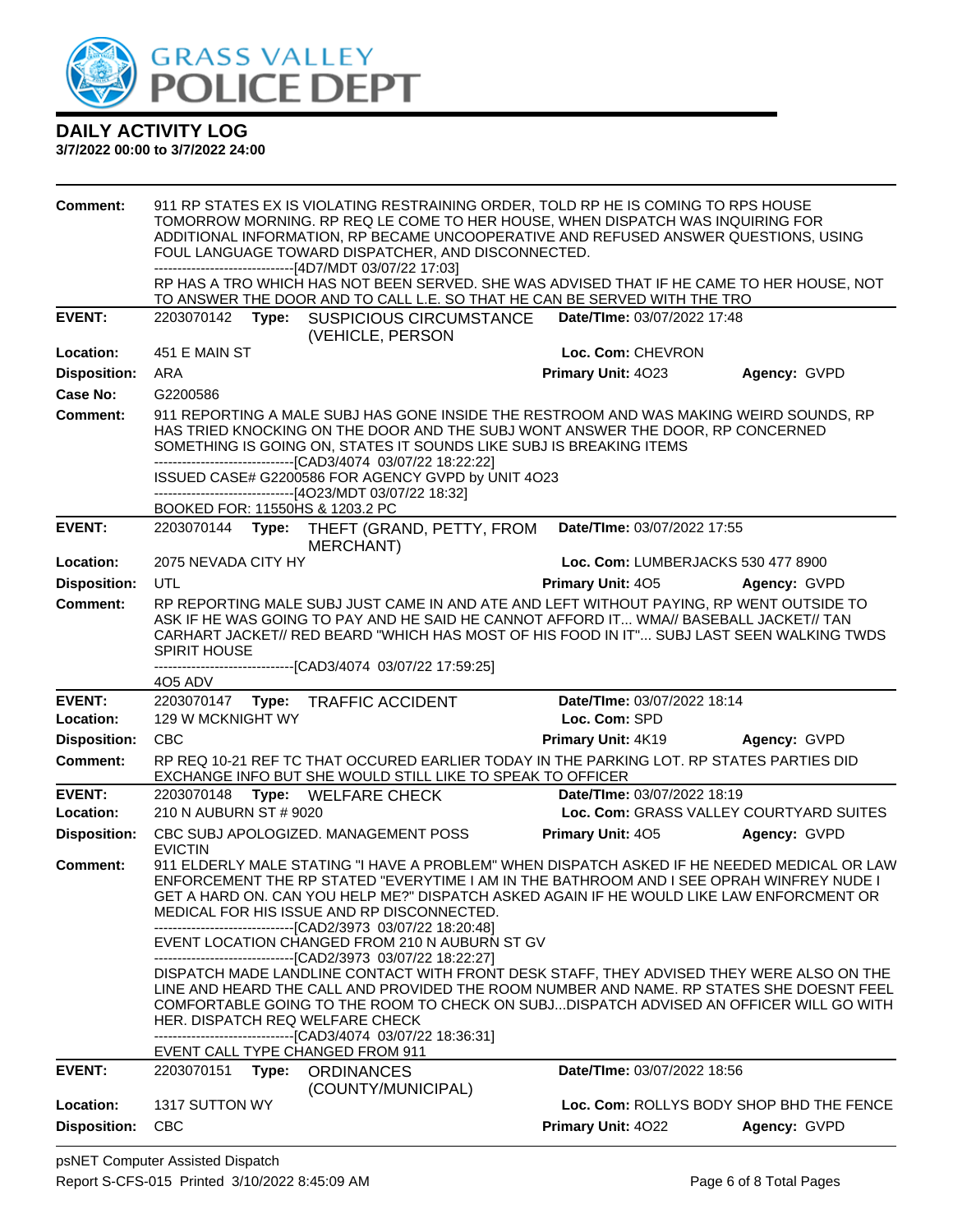

| <b>Comment:</b>                  |                              |       | 911 RP STATES EX IS VIOLATING RESTRAINING ORDER, TOLD RP HE IS COMING TO RPS HOUSE<br>TOMORROW MORNING. RP REQ LE COME TO HER HOUSE, WHEN DISPATCH WAS INQUIRING FOR<br>ADDITIONAL INFORMATION, RP BECAME UNCOOPERATIVE AND REFUSED ANSWER QUESTIONS, USING<br>FOUL LANGUAGE TOWARD DISPATCHER, AND DISCONNECTED.<br>------------------------------[4D7/MDT 03/07/22 17:03]                                                                                                                                          |                                    |                                                          |
|----------------------------------|------------------------------|-------|----------------------------------------------------------------------------------------------------------------------------------------------------------------------------------------------------------------------------------------------------------------------------------------------------------------------------------------------------------------------------------------------------------------------------------------------------------------------------------------------------------------------|------------------------------------|----------------------------------------------------------|
|                                  |                              |       | RP HAS A TRO WHICH HAS NOT BEEN SERVED. SHE WAS ADVISED THAT IF HE CAME TO HER HOUSE, NOT<br>TO ANSWER THE DOOR AND TO CALL L.E. SO THAT HE CAN BE SERVED WITH THE TRO                                                                                                                                                                                                                                                                                                                                               |                                    |                                                          |
| <b>EVENT:</b>                    |                              |       | 2203070142 Type: SUSPICIOUS CIRCUMSTANCE Date/Time: 03/07/2022 17:48<br>(VEHICLE, PERSON                                                                                                                                                                                                                                                                                                                                                                                                                             |                                    |                                                          |
| Location:                        | 451 E MAIN ST                |       |                                                                                                                                                                                                                                                                                                                                                                                                                                                                                                                      | Loc. Com: CHEVRON                  |                                                          |
| <b>Disposition:</b>              | ARA                          |       |                                                                                                                                                                                                                                                                                                                                                                                                                                                                                                                      | Primary Unit: 4023                 | Agency: GVPD                                             |
| <b>Case No:</b>                  | G2200586                     |       |                                                                                                                                                                                                                                                                                                                                                                                                                                                                                                                      |                                    |                                                          |
| Comment:                         |                              |       | 911 REPORTING A MALE SUBJ HAS GONE INSIDE THE RESTROOM AND WAS MAKING WEIRD SOUNDS, RP<br>HAS TRIED KNOCKING ON THE DOOR AND THE SUBJ WONT ANSWER THE DOOR, RP CONCERNED<br>SOMETHING IS GOING ON, STATES IT SOUNDS LIKE SUBJ IS BREAKING ITEMS<br>-------------------------------[CAD3/4074 03/07/22 18:22:22]<br>ISSUED CASE# G2200586 FOR AGENCY GVPD by UNIT 4O23<br>------------------------------[4O23/MDT 03/07/22 18:32]                                                                                     |                                    |                                                          |
| <b>EVENT:</b>                    |                              |       | BOOKED FOR: 11550HS & 1203.2 PC                                                                                                                                                                                                                                                                                                                                                                                                                                                                                      |                                    |                                                          |
|                                  |                              |       | 2203070144 Type: THEFT (GRAND, PETTY, FROM Date/Time: 03/07/2022 17:55<br><b>MERCHANT)</b>                                                                                                                                                                                                                                                                                                                                                                                                                           |                                    |                                                          |
| Location:                        | 2075 NEVADA CITY HY          |       |                                                                                                                                                                                                                                                                                                                                                                                                                                                                                                                      | Loc. Com: LUMBERJACKS 530 477 8900 |                                                          |
| <b>Disposition:</b>              | <b>UTL</b>                   |       |                                                                                                                                                                                                                                                                                                                                                                                                                                                                                                                      | <b>Primary Unit: 405</b>           | Agency: GVPD                                             |
| Comment:                         | <b>SPIRIT HOUSE</b>          |       | RP REPORTING MALE SUBJ JUST CAME IN AND ATE AND LEFT WITHOUT PAYING, RP WENT OUTSIDE TO<br>ASK IF HE WAS GOING TO PAY AND HE SAID HE CANNOT AFFORD IT WMA// BASEBALL JACKET// TAN<br>CARHART JACKET// RED BEARD "WHICH HAS MOST OF HIS FOOD IN IT" SUBJ LAST SEEN WALKING TWDS                                                                                                                                                                                                                                       |                                    |                                                          |
|                                  | 405 ADV                      |       | --------------------------------[CAD3/4074 03/07/22 17:59:25]                                                                                                                                                                                                                                                                                                                                                                                                                                                        |                                    |                                                          |
| <b>EVENT:</b>                    |                              |       | 2203070147 Type: TRAFFIC ACCIDENT                                                                                                                                                                                                                                                                                                                                                                                                                                                                                    | Date/TIme: 03/07/2022 18:14        |                                                          |
| Location:                        | 129 W MCKNIGHT WY            |       |                                                                                                                                                                                                                                                                                                                                                                                                                                                                                                                      | Loc. Com: SPD                      |                                                          |
| <b>Disposition:</b>              | <b>CBC</b>                   |       |                                                                                                                                                                                                                                                                                                                                                                                                                                                                                                                      | <b>Primary Unit: 4K19</b>          | Agency: GVPD                                             |
| <b>Comment:</b>                  |                              |       | RP REQ 10-21 REF TC THAT OCCURED EARLIER TODAY IN THE PARKING LOT. RP STATES PARTIES DID<br>EXCHANGE INFO BUT SHE WOULD STILL LIKE TO SPEAK TO OFFICER                                                                                                                                                                                                                                                                                                                                                               |                                    |                                                          |
| <b>EVENT:</b>                    |                              |       | 2203070148 Type: WELFARE CHECK                                                                                                                                                                                                                                                                                                                                                                                                                                                                                       | Date/TIme: 03/07/2022 18:19        |                                                          |
| <b>Location:</b>                 | 210 N AUBURN ST # 9020       |       |                                                                                                                                                                                                                                                                                                                                                                                                                                                                                                                      |                                    | Loc. Com: GRASS VALLEY COURTYARD SUITES                  |
| <b>Disposition:</b>              | <b>EVICTIN</b>               |       | CBC SUBJ APOLOGIZED. MANAGEMENT POSS                                                                                                                                                                                                                                                                                                                                                                                                                                                                                 | <b>Primary Unit: 405</b>           | Agency: GVPD                                             |
| Comment:                         |                              |       | 911 ELDERLY MALE STATING "I HAVE A PROBLEM" WHEN DISPATCH ASKED IF HE NEEDED MEDICAL OR LAW<br>ENFORCEMENT THE RP STATED "EVERYTIME I AM IN THE BATHROOM AND I SEE OPRAH WINFREY NUDE I<br>GET A HARD ON. CAN YOU HELP ME?" DISPATCH ASKED AGAIN IF HE WOULD LIKE LAW ENFORCMENT OR<br>MEDICAL FOR HIS ISSUE AND RP DISCONNECTED.<br>--------------------------------[CAD2/3973 03/07/22 18:20:48]<br>EVENT LOCATION CHANGED FROM 210 N AUBURN ST GV<br>-------------------------------[CAD2/3973 03/07/22 18:22:27] |                                    |                                                          |
|                                  |                              |       | DISPATCH MADE LANDLINE CONTACT WITH FRONT DESK STAFF, THEY ADVISED THEY WERE ALSO ON THE<br>LINE AND HEARD THE CALL AND PROVIDED THE ROOM NUMBER AND NAME. RP STATES SHE DOESNT FEEL<br>COMFORTABLE GOING TO THE ROOM TO CHECK ON SUBJDISPATCH ADVISED AN OFFICER WILL GO WITH<br>HER. DISPATCH REQ WELFARE CHECK<br>--------------------------------[CAD3/4074 03/07/22 18:36:31]<br>EVENT CALL TYPE CHANGED FROM 911                                                                                               |                                    |                                                          |
| <b>EVENT:</b>                    | 2203070151                   | Type: | <b>ORDINANCES</b>                                                                                                                                                                                                                                                                                                                                                                                                                                                                                                    | Date/TIme: 03/07/2022 18:56        |                                                          |
|                                  |                              |       | (COUNTY/MUNICIPAL)                                                                                                                                                                                                                                                                                                                                                                                                                                                                                                   |                                    |                                                          |
| Location:<br><b>Disposition:</b> | 1317 SUTTON WY<br><b>CBC</b> |       |                                                                                                                                                                                                                                                                                                                                                                                                                                                                                                                      | Primary Unit: 4022                 | Loc. Com: ROLLYS BODY SHOP BHD THE FENCE<br>Agency: GVPD |
|                                  |                              |       |                                                                                                                                                                                                                                                                                                                                                                                                                                                                                                                      |                                    |                                                          |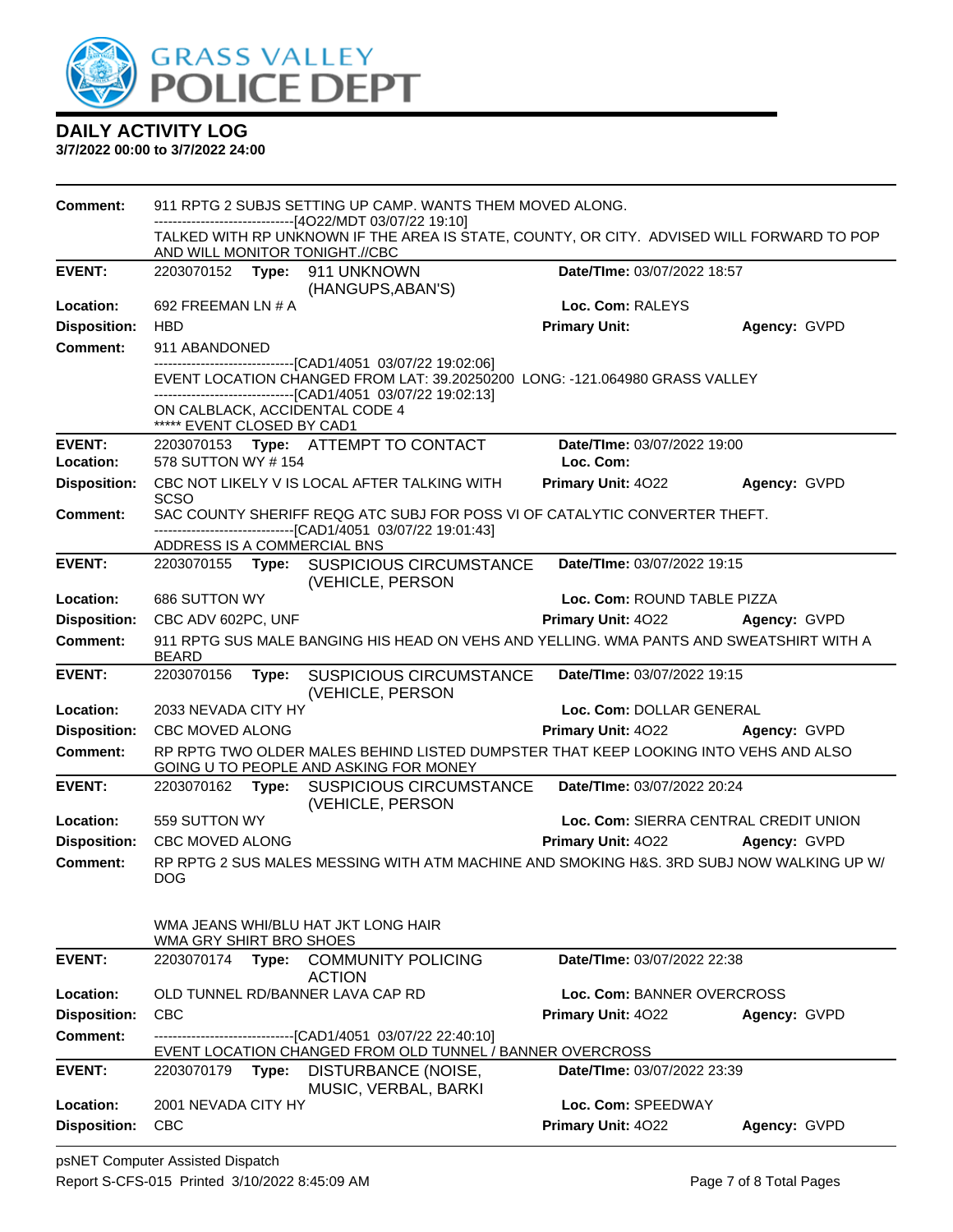

| <b>Comment:</b>     |                             |       | 911 RPTG 2 SUBJS SETTING UP CAMP. WANTS THEM MOVED ALONG.<br>------------------------[4O22/MDT 03/07/22 19:10]                                                                                                                            |                                        |              |
|---------------------|-----------------------------|-------|-------------------------------------------------------------------------------------------------------------------------------------------------------------------------------------------------------------------------------------------|----------------------------------------|--------------|
|                     |                             |       | TALKED WITH RP UNKNOWN IF THE AREA IS STATE, COUNTY, OR CITY. ADVISED WILL FORWARD TO POP<br>AND WILL MONITOR TONIGHT.//CBC                                                                                                               |                                        |              |
| <b>EVENT:</b>       |                             |       | 2203070152 Type: 911 UNKNOWN<br>(HANGUPS, ABAN'S)                                                                                                                                                                                         | Date/TIme: 03/07/2022 18:57            |              |
| Location:           | 692 FREEMAN LN # A          |       |                                                                                                                                                                                                                                           | Loc. Com: RALEYS                       |              |
| <b>Disposition:</b> | <b>HBD</b>                  |       |                                                                                                                                                                                                                                           | <b>Primary Unit:</b>                   | Agency: GVPD |
| <b>Comment:</b>     | 911 ABANDONED               |       |                                                                                                                                                                                                                                           |                                        |              |
|                     | ***** EVENT CLOSED BY CAD1  |       | -------------------------[CAD1/4051_03/07/22 19:02:06]<br>EVENT LOCATION CHANGED FROM LAT: 39.20250200 LONG: -121.064980 GRASS VALLEY<br>---------------------------------[CAD1/4051 03/07/22 19:02:13]<br>ON CALBLACK, ACCIDENTAL CODE 4 |                                        |              |
| <b>EVENT:</b>       |                             |       | 2203070153 Type: ATTEMPT TO CONTACT                                                                                                                                                                                                       | Date/TIme: 03/07/2022 19:00            |              |
| Location:           | 578 SUTTON WY #154          |       |                                                                                                                                                                                                                                           | Loc. Com:                              |              |
| <b>Disposition:</b> | <b>SCSO</b>                 |       | CBC NOT LIKELY V IS LOCAL AFTER TALKING WITH                                                                                                                                                                                              | <b>Primary Unit: 4022</b>              | Agency: GVPD |
| Comment:            |                             |       | SAC COUNTY SHERIFF REQG ATC SUBJ FOR POSS VI OF CATALYTIC CONVERTER THEFT.                                                                                                                                                                |                                        |              |
|                     | ADDRESS IS A COMMERCIAL BNS |       | -------------------------------[CAD1/4051 03/07/22 19:01:43]                                                                                                                                                                              |                                        |              |
| <b>EVENT:</b>       |                             |       | 2203070155 Type: SUSPICIOUS CIRCUMSTANCE<br>(VEHICLE, PERSON                                                                                                                                                                              | Date/TIme: 03/07/2022 19:15            |              |
| Location:           | 686 SUTTON WY               |       |                                                                                                                                                                                                                                           | Loc. Com: ROUND TABLE PIZZA            |              |
| <b>Disposition:</b> | CBC ADV 602PC, UNF          |       |                                                                                                                                                                                                                                           | Primary Unit: 4022 Agency: GVPD        |              |
| <b>Comment:</b>     | <b>BEARD</b>                |       | 911 RPTG SUS MALE BANGING HIS HEAD ON VEHS AND YELLING. WMA PANTS AND SWEATSHIRT WITH A                                                                                                                                                   |                                        |              |
| <b>EVENT:</b>       | 2203070156                  |       |                                                                                                                                                                                                                                           |                                        |              |
|                     |                             |       | Type: SUSPICIOUS CIRCUMSTANCE<br>(VEHICLE, PERSON                                                                                                                                                                                         | Date/TIme: 03/07/2022 19:15            |              |
| Location:           | 2033 NEVADA CITY HY         |       |                                                                                                                                                                                                                                           | Loc. Com: DOLLAR GENERAL               |              |
| <b>Disposition:</b> | CBC MOVED ALONG             |       |                                                                                                                                                                                                                                           | <b>Primary Unit: 4022 Agency: GVPD</b> |              |
| <b>Comment:</b>     |                             |       | RP RPTG TWO OLDER MALES BEHIND LISTED DUMPSTER THAT KEEP LOOKING INTO VEHS AND ALSO<br>GOING U TO PEOPLE AND ASKING FOR MONEY                                                                                                             |                                        |              |
| <b>EVENT:</b>       |                             |       | 2203070162 Type: SUSPICIOUS CIRCUMSTANCE<br>(VEHICLE, PERSON                                                                                                                                                                              | Date/TIme: 03/07/2022 20:24            |              |
| Location:           | 559 SUTTON WY               |       |                                                                                                                                                                                                                                           | Loc. Com: SIERRA CENTRAL CREDIT UNION  |              |
| <b>Disposition:</b> | CBC MOVED ALONG             |       |                                                                                                                                                                                                                                           | Primary Unit: 4022 Agency: GVPD        |              |
| Comment:            | <b>DOG</b>                  |       | RP RPTG 2 SUS MALES MESSING WITH ATM MACHINE AND SMOKING H&S, 3RD SUBJ NOW WALKING UP W/                                                                                                                                                  |                                        |              |
|                     | WMA GRY SHIRT BRO SHOES     |       | WMA JEANS WHI/BLU HAT JKT LONG HAIR                                                                                                                                                                                                       |                                        |              |
| <b>EVENT:</b>       | 2203070174                  | Type: | <b>COMMUNITY POLICING</b><br><b>ACTION</b>                                                                                                                                                                                                | Date/TIme: 03/07/2022 22:38            |              |
| Location:           |                             |       | OLD TUNNEL RD/BANNER LAVA CAP RD                                                                                                                                                                                                          | Loc. Com: BANNER OVERCROSS             |              |
| <b>Disposition:</b> | <b>CBC</b>                  |       |                                                                                                                                                                                                                                           | <b>Primary Unit: 4022</b>              | Agency: GVPD |
| <b>Comment:</b>     |                             |       | -----------------[CAD1/4051 03/07/22 22:40:10]                                                                                                                                                                                            |                                        |              |
| <b>EVENT:</b>       | 2203070179                  | Type: | EVENT LOCATION CHANGED FROM OLD TUNNEL / BANNER OVERCROSS<br>DISTURBANCE (NOISE,                                                                                                                                                          | Date/TIme: 03/07/2022 23:39            |              |
| Location:           | 2001 NEVADA CITY HY         |       | MUSIC, VERBAL, BARKI                                                                                                                                                                                                                      | Loc. Com: SPEEDWAY                     |              |